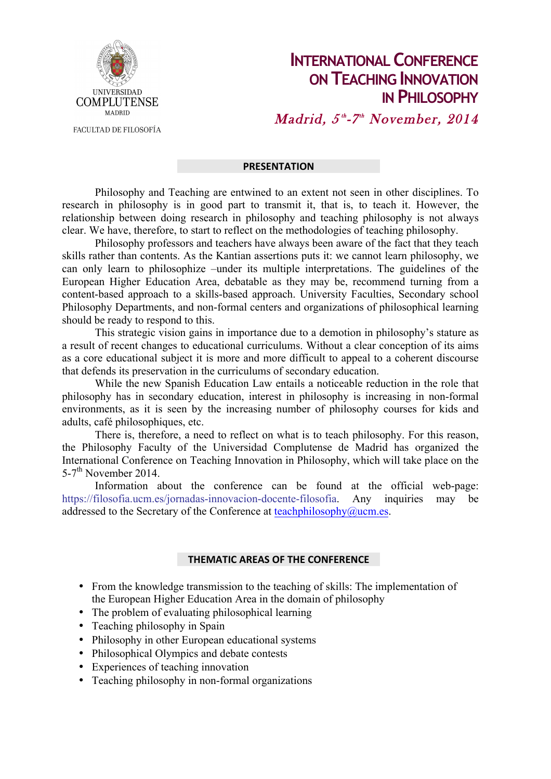

**INTERNATIONAL CONFERENCE ON TEACHING INNOVATION IN PHILOSOPHY**  $\boldsymbol{M}$ adrid,  $5^{\text{\tiny th}}$ -7<sup>th</sup> November, 2014

FACULTAD DE FILOSOFÍA

## **PRESENTATION**

Philosophy and Teaching are entwined to an extent not seen in other disciplines. To research in philosophy is in good part to transmit it, that is, to teach it. However, the relationship between doing research in philosophy and teaching philosophy is not always clear. We have, therefore, to start to reflect on the methodologies of teaching philosophy.

Philosophy professors and teachers have always been aware of the fact that they teach skills rather than contents. As the Kantian assertions puts it: we cannot learn philosophy, we can only learn to philosophize –under its multiple interpretations. The guidelines of the European Higher Education Area, debatable as they may be, recommend turning from a content-based approach to a skills-based approach. University Faculties, Secondary school Philosophy Departments, and non-formal centers and organizations of philosophical learning should be ready to respond to this.

This strategic vision gains in importance due to a demotion in philosophy's stature as a result of recent changes to educational curriculums. Without a clear conception of its aims as a core educational subject it is more and more difficult to appeal to a coherent discourse that defends its preservation in the curriculums of secondary education.

While the new Spanish Education Law entails a noticeable reduction in the role that philosophy has in secondary education, interest in philosophy is increasing in non-formal environments, as it is seen by the increasing number of philosophy courses for kids and adults, café philosophiques, etc.

There is, therefore, a need to reflect on what is to teach philosophy. For this reason, the Philosophy Faculty of the Universidad Complutense de Madrid has organized the International Conference on Teaching Innovation in Philosophy, which will take place on the  $5-7$ <sup>th</sup> November 2014.

Information about the conference can be found at the official web-page: https://filosofia.ucm.es/jornadas-innovacion-docente-filosofia. Any inquiries may be addressed to the Secretary of the Conference at teachphilosophy@ucm.es.

## **THEMATIC AREAS OF THE CONFERENCE**

- From the knowledge transmission to the teaching of skills: The implementation of the European Higher Education Area in the domain of philosophy
- The problem of evaluating philosophical learning
- Teaching philosophy in Spain
- Philosophy in other European educational systems
- Philosophical Olympics and debate contests
- Experiences of teaching innovation
- Teaching philosophy in non-formal organizations